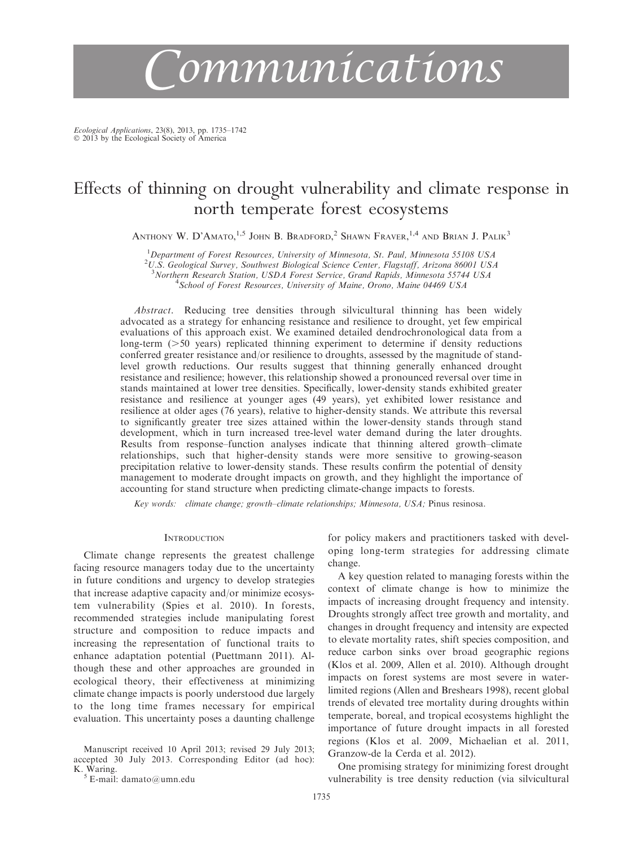# Communications

Ecological Applications, 23(8), 2013, pp. 1735–1742 © 2013 by the Ecological Society of America

# Effects of thinning on drought vulnerability and climate response in north temperate forest ecosystems

ANTHONY W. D'AMATO,<sup>1,5</sup> JOHN B. Bradford,<sup>2</sup> Shawn Fraver,<sup>1,4</sup> and Brian J. Palik<sup>3</sup>

<sup>1</sup>Department of Forest Resources, University of Minnesota, St. Paul, Minnesota 55108 USA

<sup>2</sup>U.S. Geological Survey, Southwest Biological Science Center, Flagstaff, Arizona 86001 USA

<sup>3</sup> Northern Research Station, USDA Forest Service, Grand Rapids, Minnesota 55744 USA <sup>4</sup>School of Forest Resources, University of Maine, Orono, Maine 04469 USA

Abstract. Reducing tree densities through silvicultural thinning has been widely advocated as a strategy for enhancing resistance and resilience to drought, yet few empirical evaluations of this approach exist. We examined detailed dendrochronological data from a long-term  $(50 \text{ years})$  replicated thinning experiment to determine if density reductions conferred greater resistance and/or resilience to droughts, assessed by the magnitude of standlevel growth reductions. Our results suggest that thinning generally enhanced drought resistance and resilience; however, this relationship showed a pronounced reversal over time in stands maintained at lower tree densities. Specifically, lower-density stands exhibited greater resistance and resilience at younger ages (49 years), yet exhibited lower resistance and resilience at older ages (76 years), relative to higher-density stands. We attribute this reversal to significantly greater tree sizes attained within the lower-density stands through stand development, which in turn increased tree-level water demand during the later droughts. Results from response–function analyses indicate that thinning altered growth–climate relationships, such that higher-density stands were more sensitive to growing-season precipitation relative to lower-density stands. These results confirm the potential of density management to moderate drought impacts on growth, and they highlight the importance of accounting for stand structure when predicting climate-change impacts to forests.

Key words: climate change; growth–climate relationships; Minnesota, USA; Pinus resinosa.

# **INTRODUCTION**

Climate change represents the greatest challenge facing resource managers today due to the uncertainty in future conditions and urgency to develop strategies that increase adaptive capacity and/or minimize ecosystem vulnerability (Spies et al. 2010). In forests, recommended strategies include manipulating forest structure and composition to reduce impacts and increasing the representation of functional traits to enhance adaptation potential (Puettmann 2011). Although these and other approaches are grounded in ecological theory, their effectiveness at minimizing climate change impacts is poorly understood due largely to the long time frames necessary for empirical evaluation. This uncertainty poses a daunting challenge

Manuscript received 10 April 2013; revised 29 July 2013; accepted 30 July 2013. Corresponding Editor (ad hoc): K. Waring.<br> $5$  E-mail: damato@umn.edu

for policy makers and practitioners tasked with developing long-term strategies for addressing climate change.

A key question related to managing forests within the context of climate change is how to minimize the impacts of increasing drought frequency and intensity. Droughts strongly affect tree growth and mortality, and changes in drought frequency and intensity are expected to elevate mortality rates, shift species composition, and reduce carbon sinks over broad geographic regions (Klos et al. 2009, Allen et al. 2010). Although drought impacts on forest systems are most severe in waterlimited regions (Allen and Breshears 1998), recent global trends of elevated tree mortality during droughts within temperate, boreal, and tropical ecosystems highlight the importance of future drought impacts in all forested regions (Klos et al. 2009, Michaelian et al. 2011, Granzow-de la Cerda et al. 2012).

One promising strategy for minimizing forest drought vulnerability is tree density reduction (via silvicultural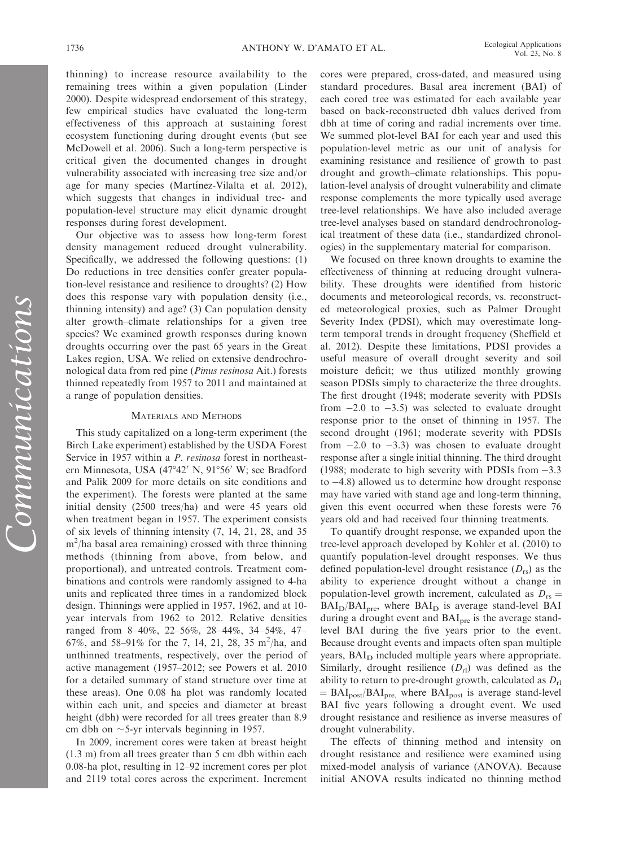thinning) to increase resource availability to the remaining trees within a given population (Linder 2000). Despite widespread endorsement of this strategy, few empirical studies have evaluated the long-term effectiveness of this approach at sustaining forest ecosystem functioning during drought events (but see McDowell et al. 2006). Such a long-term perspective is critical given the documented changes in drought vulnerability associated with increasing tree size and/or age for many species (Martínez-Vilalta et al. 2012), which suggests that changes in individual tree- and population-level structure may elicit dynamic drought responses during forest development.

Our objective was to assess how long-term forest density management reduced drought vulnerability. Specifically, we addressed the following questions: (1) Do reductions in tree densities confer greater population-level resistance and resilience to droughts? (2) How does this response vary with population density (i.e., thinning intensity) and age? (3) Can population density alter growth–climate relationships for a given tree species? We examined growth responses during known droughts occurring over the past 65 years in the Great Lakes region, USA. We relied on extensive dendrochronological data from red pine (Pinus resinosa Ait.) forests thinned repeatedly from 1957 to 2011 and maintained at a range of population densities.

# MATERIALS AND METHODS

This study capitalized on a long-term experiment (the Birch Lake experiment) established by the USDA Forest Service in 1957 within a *P. resinosa* forest in northeastern Minnesota, USA (47°42′ N, 91°56′ W; see Bradford and Palik 2009 for more details on site conditions and the experiment). The forests were planted at the same initial density (2500 trees/ha) and were 45 years old when treatment began in 1957. The experiment consists of six levels of thinning intensity (7, 14, 21, 28, and 35  $m^2/h$ a basal area remaining) crossed with three thinning methods (thinning from above, from below, and proportional), and untreated controls. Treatment combinations and controls were randomly assigned to 4-ha units and replicated three times in a randomized block design. Thinnings were applied in 1957, 1962, and at 10 year intervals from 1962 to 2012. Relative densities ranged from 8–40%, 22–56%, 28–44%, 34–54%, 47– 67%, and 58-91% for the 7, 14, 21, 28, 35 m<sup>2</sup>/ha, and unthinned treatments, respectively, over the period of active management (1957–2012; see Powers et al. 2010 for a detailed summary of stand structure over time at these areas). One 0.08 ha plot was randomly located within each unit, and species and diameter at breast height (dbh) were recorded for all trees greater than 8.9 cm dbh on  $\sim$ 5-yr intervals beginning in 1957.

In 2009, increment cores were taken at breast height (1.3 m) from all trees greater than 5 cm dbh within each 0.08-ha plot, resulting in 12–92 increment cores per plot and 2119 total cores across the experiment. Increment cores were prepared, cross-dated, and measured using standard procedures. Basal area increment (BAI) of each cored tree was estimated for each available year based on back-reconstructed dbh values derived from dbh at time of coring and radial increments over time. We summed plot-level BAI for each year and used this population-level metric as our unit of analysis for examining resistance and resilience of growth to past drought and growth–climate relationships. This population-level analysis of drought vulnerability and climate response complements the more typically used average tree-level relationships. We have also included average tree-level analyses based on standard dendrochronological treatment of these data (i.e., standardized chronologies) in the supplementary material for comparison.

We focused on three known droughts to examine the effectiveness of thinning at reducing drought vulnerability. These droughts were identified from historic documents and meteorological records, vs. reconstructed meteorological proxies, such as Palmer Drought Severity Index (PDSI), which may overestimate longterm temporal trends in drought frequency (Sheffield et al. 2012). Despite these limitations, PDSI provides a useful measure of overall drought severity and soil moisture deficit; we thus utilized monthly growing season PDSIs simply to characterize the three droughts. The first drought (1948; moderate severity with PDSIs from  $-2.0$  to  $-3.5$ ) was selected to evaluate drought response prior to the onset of thinning in 1957. The second drought (1961; moderate severity with PDSIs from  $-2.0$  to  $-3.3$ ) was chosen to evaluate drought response after a single initial thinning. The third drought (1988; moderate to high severity with PDSIs from  $-3.3$ to -4.8) allowed us to determine how drought response may have varied with stand age and long-term thinning, given this event occurred when these forests were 76 years old and had received four thinning treatments.

To quantify drought response, we expanded upon the tree-level approach developed by Kohler et al. (2010) to quantify population-level drought responses. We thus defined population-level drought resistance  $(D_{rs})$  as the ability to experience drought without a change in population-level growth increment, calculated as  $D_{rs} =$  $BAI<sub>D</sub>/BAI<sub>pre</sub>$ , where  $BAI<sub>D</sub>$  is average stand-level BAI during a drought event and BAI<sub>pre</sub> is the average standlevel BAI during the five years prior to the event. Because drought events and impacts often span multiple years, BAI<sub>D</sub> included multiple years where appropriate. Similarly, drought resilience  $(D_{rl})$  was defined as the ability to return to pre-drought growth, calculated as  $D_{\rm rl}$  $= BAI_{post}/BAI_{pre}$ , where  $BAI_{post}$  is average stand-level BAI five years following a drought event. We used drought resistance and resilience as inverse measures of drought vulnerability.

The effects of thinning method and intensity on drought resistance and resilience were examined using mixed-model analysis of variance (ANOVA). Because initial ANOVA results indicated no thinning method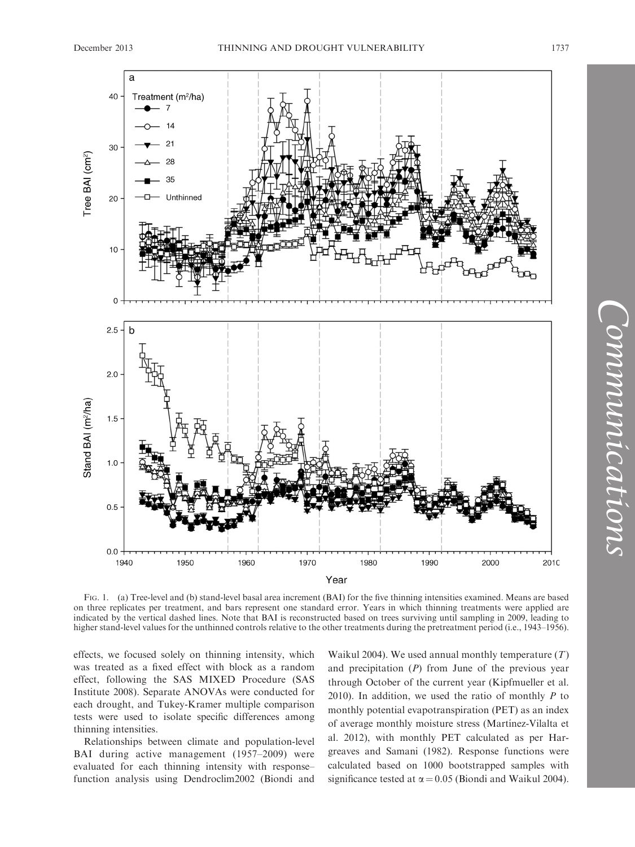

FIG. 1. (a) Tree-level and (b) stand-level basal area increment (BAI) for the five thinning intensities examined. Means are based on three replicates per treatment, and bars represent one standard error. Years in which thinning treatments were applied are indicated by the vertical dashed lines. Note that BAI is reconstructed based on trees surviving until sampling in 2009, leading to higher stand-level values for the unthinned controls relative to the other treatments during the pretreatment period (i.e., 1943–1956).

effects, we focused solely on thinning intensity, which was treated as a fixed effect with block as a random effect, following the SAS MIXED Procedure (SAS Institute 2008). Separate ANOVAs were conducted for each drought, and Tukey-Kramer multiple comparison tests were used to isolate specific differences among thinning intensities.

Relationships between climate and population-level BAI during active management (1957–2009) were evaluated for each thinning intensity with response– function analysis using Dendroclim2002 (Biondi and Waikul 2004). We used annual monthly temperature  $(T)$ and precipitation  $(P)$  from June of the previous year through October of the current year (Kipfmueller et al. 2010). In addition, we used the ratio of monthly  $P$  to monthly potential evapotranspiration (PET) as an index of average monthly moisture stress (Martínez-Vilalta et al. 2012), with monthly PET calculated as per Hargreaves and Samani (1982). Response functions were calculated based on 1000 bootstrapped samples with significance tested at  $\alpha$  = 0.05 (Biondi and Waikul 2004).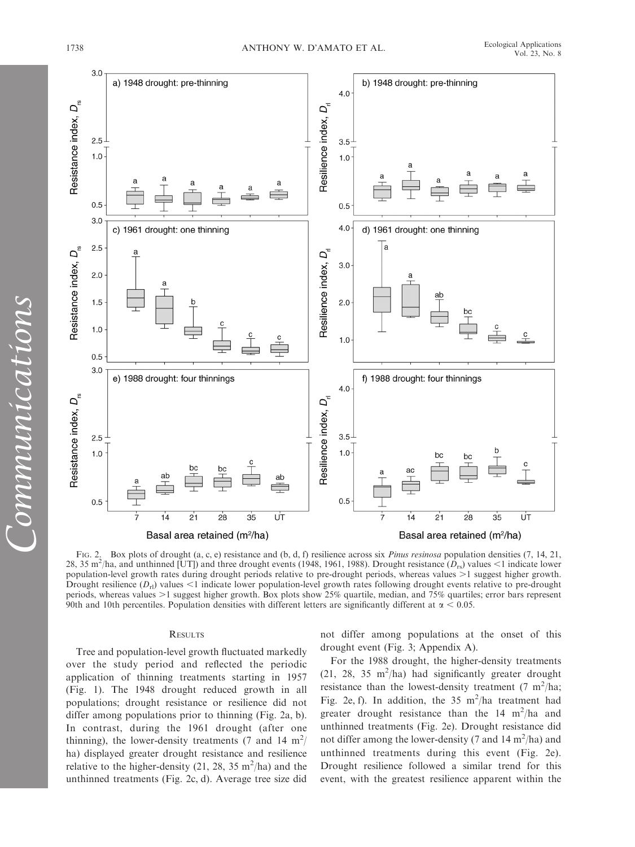

FIG. 2. Box plots of drought (a, c, e) resistance and (b, d, f) resilience across six *Pinus resinosa* population densities (7, 14, 21, 28, 35 m<sup>2</sup>/ha, and unthinned [UT]) and three drought events (1948, 1961, 1988). Drought resistance ( $D_{rs}$ ) values <1 indicate lower population-level growth rates during drought periods relative to pre-drought periods, whereas values  $>1$  suggest higher growth. Drought resilience  $(D_{\rm rl})$  values <1 indicate lower population-level growth rates following drought events relative to pre-drought periods, whereas values >1 suggest higher growth. Box plots show 25% quartile, median, and 75% quartiles; error bars represent 90th and 10th percentiles. Population densities with different letters are significantly different at  $\alpha$  < 0.05.

# **RESULTS**

Tree and population-level growth fluctuated markedly over the study period and reflected the periodic application of thinning treatments starting in 1957 (Fig. 1). The 1948 drought reduced growth in all populations; drought resistance or resilience did not differ among populations prior to thinning (Fig. 2a, b). In contrast, during the 1961 drought (after one thinning), the lower-density treatments (7 and 14 m<sup>2</sup>/ ha) displayed greater drought resistance and resilience relative to the higher-density (21, 28, 35  $\text{m}^2/\text{ha}$ ) and the unthinned treatments (Fig. 2c, d). Average tree size did not differ among populations at the onset of this drought event (Fig. 3; Appendix A).

For the 1988 drought, the higher-density treatments (21, 28, 35 m<sup>2</sup>/ha) had significantly greater drought resistance than the lowest-density treatment  $(7 \text{ m}^2/\text{ha})$ ; Fig. 2e, f). In addition, the 35 m<sup>2</sup>/ha treatment had greater drought resistance than the  $14 \text{ m}^2/\text{ha}$  and unthinned treatments (Fig. 2e). Drought resistance did not differ among the lower-density (7 and  $14 \text{ m}^2/\text{ha}$ ) and unthinned treatments during this event (Fig. 2e). Drought resilience followed a similar trend for this event, with the greatest resilience apparent within the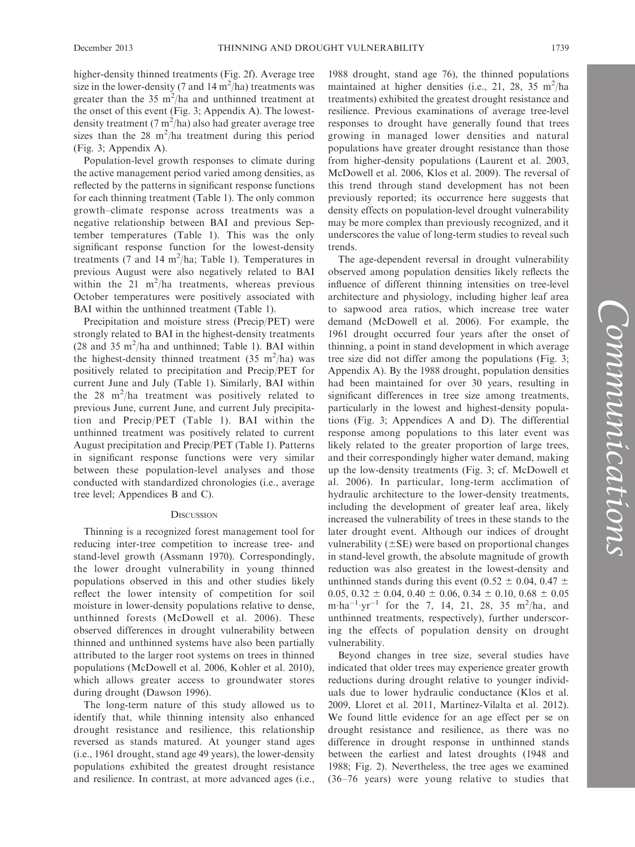higher-density thinned treatments (Fig. 2f). Average tree size in the lower-density (7 and 14  $\text{m}^2/\text{ha}$ ) treatments was greater than the 35 m<sup>2</sup>/ha and unthinned treatment at the onset of this event (Fig. 3; Appendix A). The lowestdensity treatment (7  $m^2/ha$ ) also had greater average tree sizes than the 28  $m^2/ha$  treatment during this period (Fig. 3; Appendix A).

Population-level growth responses to climate during the active management period varied among densities, as reflected by the patterns in significant response functions for each thinning treatment (Table 1). The only common growth–climate response across treatments was a negative relationship between BAI and previous September temperatures (Table 1). This was the only significant response function for the lowest-density treatments (7 and 14  $m^2/ha$ ; Table 1). Temperatures in previous August were also negatively related to BAI within the  $21 \text{ m}^2/\text{ha}$  treatments, whereas previous October temperatures were positively associated with BAI within the unthinned treatment (Table 1).

Precipitation and moisture stress (Precip/PET) were strongly related to BAI in the highest-density treatments  $(28$  and  $35 \text{ m}^2/\text{ha}$  and unthinned; Table 1). BAI within the highest-density thinned treatment (35 m<sup>2</sup>/ha) was positively related to precipitation and Precip/PET for current June and July (Table 1). Similarly, BAI within the 28  $m^2/ha$  treatment was positively related to previous June, current June, and current July precipitation and Precip/PET (Table 1). BAI within the unthinned treatment was positively related to current August precipitation and Precip/PET (Table 1). Patterns in significant response functions were very similar between these population-level analyses and those conducted with standardized chronologies (i.e., average tree level; Appendices B and C).

# **DISCUSSION**

Thinning is a recognized forest management tool for reducing inter-tree competition to increase tree- and stand-level growth (Assmann 1970). Correspondingly, the lower drought vulnerability in young thinned populations observed in this and other studies likely reflect the lower intensity of competition for soil moisture in lower-density populations relative to dense, unthinned forests (McDowell et al. 2006). These observed differences in drought vulnerability between thinned and unthinned systems have also been partially attributed to the larger root systems on trees in thinned populations (McDowell et al. 2006, Kohler et al. 2010), which allows greater access to groundwater stores during drought (Dawson 1996).

The long-term nature of this study allowed us to identify that, while thinning intensity also enhanced drought resistance and resilience, this relationship reversed as stands matured. At younger stand ages (i.e., 1961 drought, stand age 49 years), the lower-density populations exhibited the greatest drought resistance and resilience. In contrast, at more advanced ages (i.e., 1988 drought, stand age 76), the thinned populations maintained at higher densities (i.e., 21, 28, 35 m<sup>2</sup>/ha treatments) exhibited the greatest drought resistance and resilience. Previous examinations of average tree-level responses to drought have generally found that trees growing in managed lower densities and natural populations have greater drought resistance than those from higher-density populations (Laurent et al. 2003, McDowell et al. 2006, Klos et al. 2009). The reversal of this trend through stand development has not been previously reported; its occurrence here suggests that density effects on population-level drought vulnerability may be more complex than previously recognized, and it underscores the value of long-term studies to reveal such trends.

The age-dependent reversal in drought vulnerability observed among population densities likely reflects the influence of different thinning intensities on tree-level architecture and physiology, including higher leaf area to sapwood area ratios, which increase tree water demand (McDowell et al. 2006). For example, the 1961 drought occurred four years after the onset of thinning, a point in stand development in which average tree size did not differ among the populations (Fig. 3; Appendix A). By the 1988 drought, population densities had been maintained for over 30 years, resulting in significant differences in tree size among treatments, particularly in the lowest and highest-density populations (Fig. 3; Appendices A and D). The differential response among populations to this later event was likely related to the greater proportion of large trees, and their correspondingly higher water demand, making up the low-density treatments (Fig. 3; cf. McDowell et al. 2006). In particular, long-term acclimation of hydraulic architecture to the lower-density treatments, including the development of greater leaf area, likely increased the vulnerability of trees in these stands to the later drought event. Although our indices of drought vulnerability  $(\pm SE)$  were based on proportional changes in stand-level growth, the absolute magnitude of growth reduction was also greatest in the lowest-density and unthinned stands during this event (0.52  $\pm$  0.04, 0.47  $\pm$ 0.05, 0.32  $\pm$  0.04, 0.40  $\pm$  0.06, 0.34  $\pm$  0.10, 0.68  $\pm$  0.05 m·ha<sup>-1</sup>·yr<sup>-1</sup> for the 7, 14, 21, 28, 35 m<sup>2</sup>/ha, and unthinned treatments, respectively), further underscoring the effects of population density on drought vulnerability.

Beyond changes in tree size, several studies have indicated that older trees may experience greater growth reductions during drought relative to younger individuals due to lower hydraulic conductance (Klos et al. 2009, Lloret et al. 2011, Martínez-Vilalta et al. 2012). We found little evidence for an age effect per se on drought resistance and resilience, as there was no difference in drought response in unthinned stands between the earliest and latest droughts (1948 and 1988; Fig. 2). Nevertheless, the tree ages we examined (36–76 years) were young relative to studies that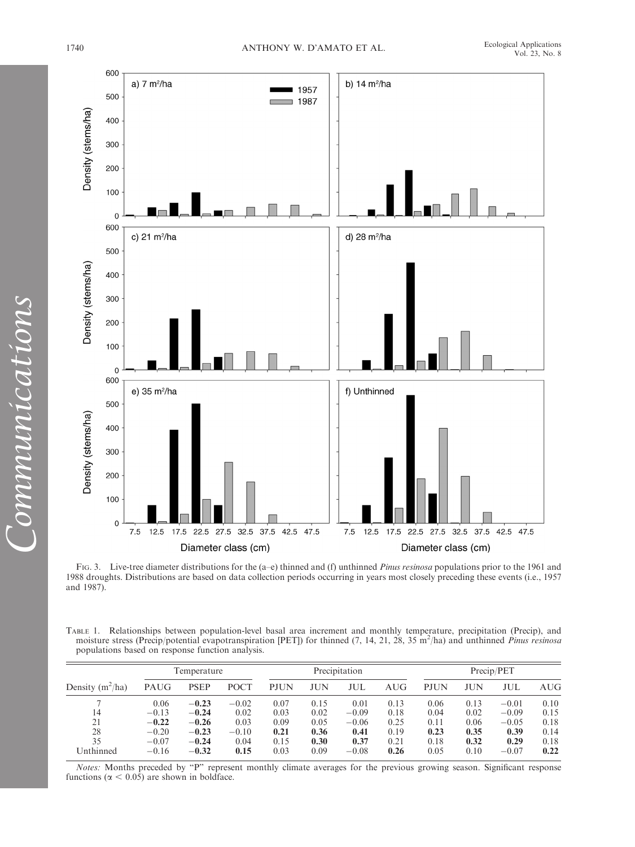

FIG. 3. Live-tree diameter distributions for the (a–e) thinned and (f) unthinned *Pinus resinosa* populations prior to the 1961 and 1988 droughts. Distributions are based on data collection periods occurring in years most closely preceding these events (i.e., 1957 and 1987).

TABLE 1. Relationships between population-level basal area increment and monthly temperature, precipitation (Precip), and moisture stress (Precip/potential evapotranspiration [PET]) for thinned (7, 14, 21, 28, 35 m<sup>2</sup>/ha) and unthinned Pinus resinosa populations based on response function analysis.

| Density $(m^2/ha)$ | Temperature |             |         | Precipitation |      |         |      | Precip/PET  |      |         |      |
|--------------------|-------------|-------------|---------|---------------|------|---------|------|-------------|------|---------|------|
|                    | PAUG        | <b>PSEP</b> | POCT    | <b>PJUN</b>   | JUN  | JUL     | AUG  | <b>PJUN</b> | JUN  | JUL     | AUG  |
|                    | 0.06        | $-0.23$     | $-0.02$ | 0.07          | 0.15 | 0.01    | 0.13 | 0.06        | 0.13 | $-0.01$ | 0.10 |
| 14                 | $-0.13$     | $-0.24$     | 0.02    | 0.03          | 0.02 | $-0.09$ | 0.18 | 0.04        | 0.02 | $-0.09$ | 0.15 |
| 21                 | $-0.22$     | $-0.26$     | 0.03    | 0.09          | 0.05 | $-0.06$ | 0.25 | 0.11        | 0.06 | $-0.05$ | 0.18 |
| 28                 | $-0.20$     | $-0.23$     | $-0.10$ | 0.21          | 0.36 | 0.41    | 0.19 | 0.23        | 0.35 | 0.39    | 0.14 |
| 35                 | $-0.07$     | $-0.24$     | 0.04    | 0.15          | 0.30 | 0.37    | 0.21 | 0.18        | 0.32 | 0.29    | 0.18 |
| Unthinned          | $-0.16$     | $-0.32$     | 0.15    | 0.03          | 0.09 | $-0.08$ | 0.26 | 0.05        | 0.10 | $-0.07$ | 0.22 |

Notes: Months preceded by ''P'' represent monthly climate averages for the previous growing season. Significant response functions ( $\alpha$  < 0.05) are shown in boldface.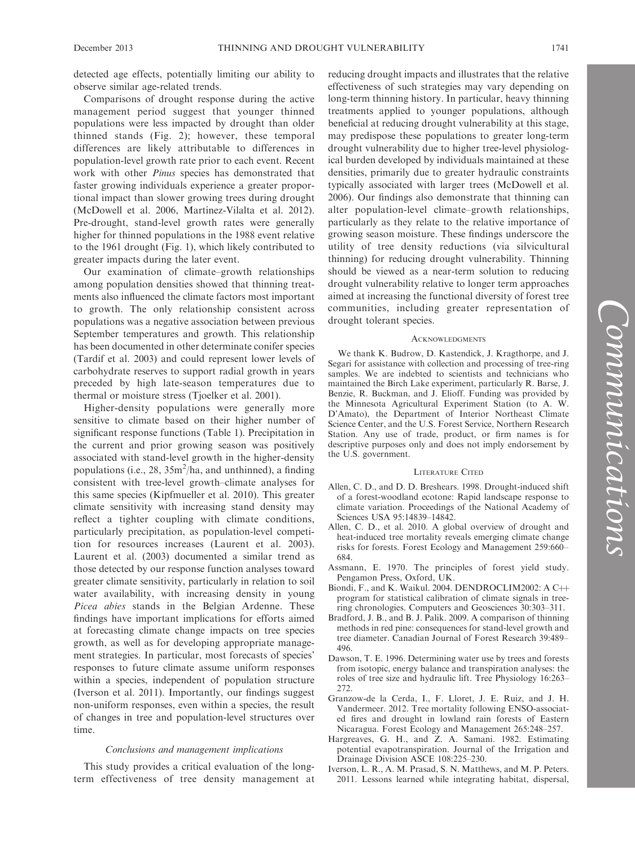detected age effects, potentially limiting our ability to observe similar age-related trends.

Comparisons of drought response during the active management period suggest that younger thinned populations were less impacted by drought than older thinned stands (Fig. 2); however, these temporal differences are likely attributable to differences in population-level growth rate prior to each event. Recent work with other Pinus species has demonstrated that faster growing individuals experience a greater proportional impact than slower growing trees during drought (McDowell et al. 2006, Martínez-Vilalta et al. 2012). Pre-drought, stand-level growth rates were generally higher for thinned populations in the 1988 event relative to the 1961 drought (Fig. 1), which likely contributed to greater impacts during the later event.

Our examination of climate–growth relationships among population densities showed that thinning treatments also influenced the climate factors most important to growth. The only relationship consistent across populations was a negative association between previous September temperatures and growth. This relationship has been documented in other determinate conifer species (Tardif et al. 2003) and could represent lower levels of carbohydrate reserves to support radial growth in years preceded by high late-season temperatures due to thermal or moisture stress (Tjoelker et al. 2001).

Higher-density populations were generally more sensitive to climate based on their higher number of significant response functions (Table 1). Precipitation in the current and prior growing season was positively associated with stand-level growth in the higher-density populations (i.e.,  $28$ ,  $35m^2/ha$ , and unthinned), a finding consistent with tree-level growth–climate analyses for this same species (Kipfmueller et al. 2010). This greater climate sensitivity with increasing stand density may reflect a tighter coupling with climate conditions, particularly precipitation, as population-level competition for resources increases (Laurent et al. 2003). Laurent et al. (2003) documented a similar trend as those detected by our response function analyses toward greater climate sensitivity, particularly in relation to soil water availability, with increasing density in young Picea abies stands in the Belgian Ardenne. These findings have important implications for efforts aimed at forecasting climate change impacts on tree species growth, as well as for developing appropriate management strategies. In particular, most forecasts of species' responses to future climate assume uniform responses within a species, independent of population structure (Iverson et al. 2011). Importantly, our findings suggest non-uniform responses, even within a species, the result of changes in tree and population-level structures over time.

# Conclusions and management implications

This study provides a critical evaluation of the longterm effectiveness of tree density management at reducing drought impacts and illustrates that the relative effectiveness of such strategies may vary depending on long-term thinning history. In particular, heavy thinning treatments applied to younger populations, although beneficial at reducing drought vulnerability at this stage, may predispose these populations to greater long-term drought vulnerability due to higher tree-level physiological burden developed by individuals maintained at these densities, primarily due to greater hydraulic constraints typically associated with larger trees (McDowell et al. 2006). Our findings also demonstrate that thinning can alter population-level climate–growth relationships, particularly as they relate to the relative importance of growing season moisture. These findings underscore the utility of tree density reductions (via silvicultural thinning) for reducing drought vulnerability. Thinning should be viewed as a near-term solution to reducing drought vulnerability relative to longer term approaches aimed at increasing the functional diversity of forest tree communities, including greater representation of drought tolerant species.

#### **ACKNOWLEDGMENTS**

We thank K. Budrow, D. Kastendick, J. Kragthorpe, and J. Segari for assistance with collection and processing of tree-ring samples. We are indebted to scientists and technicians who maintained the Birch Lake experiment, particularly R. Barse, J. Benzie, R. Buckman, and J. Elioff. Funding was provided by the Minnesota Agricultural Experiment Station (to A. W. D'Amato), the Department of Interior Northeast Climate Science Center, and the U.S. Forest Service, Northern Research Station. Any use of trade, product, or firm names is for descriptive purposes only and does not imply endorsement by the U.S. government.

#### LITERATURE CITED

- Allen, C. D., and D. D. Breshears. 1998. Drought-induced shift of a forest-woodland ecotone: Rapid landscape response to climate variation. Proceedings of the National Academy of Sciences USA 95:14839–14842.
- Allen, C. D., et al. 2010. A global overview of drought and heat-induced tree mortality reveals emerging climate change risks for forests. Forest Ecology and Management 259:660– 684.
- Assmann, E. 1970. The principles of forest yield study. Pengamon Press, Oxford, UK.
- Biondi, F., and K. Waikul. 2004. DENDROCLIM2002: A C++ program for statistical calibration of climate signals in treering chronologies. Computers and Geosciences 30:303–311.
- Bradford, J. B., and B. J. Palik. 2009. A comparison of thinning methods in red pine: consequences for stand-level growth and tree diameter. Canadian Journal of Forest Research 39:489– 496.
- Dawson, T. E. 1996. Determining water use by trees and forests from isotopic, energy balance and transpiration analyses: the roles of tree size and hydraulic lift. Tree Physiology 16:263– 272.
- Granzow-de la Cerda, I., F. Lloret, J. E. Ruiz, and J. H. Vandermeer. 2012. Tree mortality following ENSO-associated fires and drought in lowland rain forests of Eastern Nicaragua. Forest Ecology and Management 265:248–257.
- Hargreaves, G. H., and Z. A. Samani. 1982. Estimating potential evapotranspiration. Journal of the Irrigation and Drainage Division ASCE 108:225–230.
- Iverson, L. R., A. M. Prasad, S. N. Matthews, and M. P. Peters. 2011. Lessons learned while integrating habitat, dispersal,